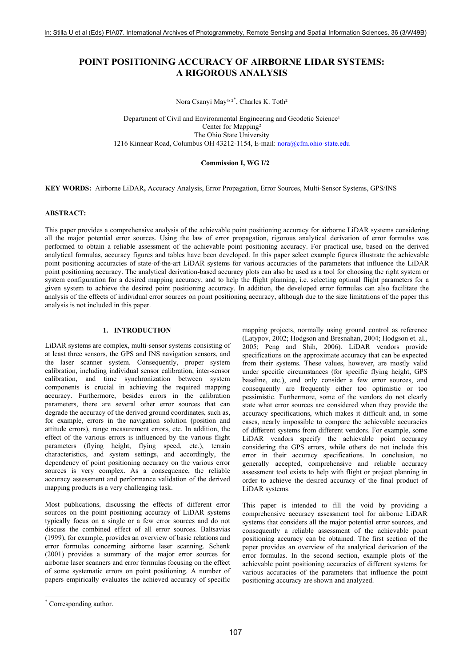# **POINT POSITIONING ACCURACY OF AIRBORNE LIDAR SYSTEMS: A RIGOROUS ANALYSIS**

Nora Csanyi May<sup>1, 2\*</sup>, Charles K. Toth<sup>2</sup>

Department of Civil and Environmental Engineering and Geodetic Science<sup>1</sup> Center for Mapping<sup>2</sup> The Ohio State University 1216 Kinnear Road, Columbus OH 43212-1154, E-mail: nora@cfm.ohio-state.edu

#### **Commission I, WG I/2**

**KEY WORDS:** Airborne LiDAR**,** Accuracy Analysis, Error Propagation, Error Sources, Multi-Sensor Systems, GPS/INS

#### **ABSTRACT:**

This paper provides a comprehensive analysis of the achievable point positioning accuracy for airborne LiDAR systems considering all the major potential error sources. Using the law of error propagation, rigorous analytical derivation of error formulas was performed to obtain a reliable assessment of the achievable point positioning accuracy. For practical use, based on the derived analytical formulas, accuracy figures and tables have been developed. In this paper select example figures illustrate the achievable point positioning accuracies of state-of-the-art LiDAR systems for various accuracies of the parameters that influence the LiDAR point positioning accuracy. The analytical derivation-based accuracy plots can also be used as a tool for choosing the right system or system configuration for a desired mapping accuracy, and to help the flight planning, i.e. selecting optimal flight parameters for a given system to achieve the desired point positioning accuracy. In addition, the developed error formulas can also facilitate the analysis of the effects of individual error sources on point positioning accuracy, although due to the size limitations of the paper this analysis is not included in this paper.

## **1. INTRODUCTION**

LiDAR systems are complex, multi-sensor systems consisting of at least three sensors, the GPS and INS navigation sensors, and the laser scanner system. Consequently, proper system calibration, including individual sensor calibration, inter-sensor calibration, and time synchronization between system components is crucial in achieving the required mapping accuracy. Furthermore, besides errors in the calibration parameters, there are several other error sources that can degrade the accuracy of the derived ground coordinates, such as, for example, errors in the navigation solution (position and attitude errors), range measurement errors, etc. In addition, the effect of the various errors is influenced by the various flight parameters (flying height, flying speed, etc.), terrain characteristics, and system settings, and accordingly, the dependency of point positioning accuracy on the various error sources is very complex. As a consequence, the reliable accuracy assessment and performance validation of the derived mapping products is a very challenging task.

Most publications, discussing the effects of different error sources on the point positioning accuracy of LiDAR systems typically focus on a single or a few error sources and do not discuss the combined effect of all error sources. Baltsavias (1999), for example, provides an overview of basic relations and error formulas concerning airborne laser scanning. Schenk (2001) provides a summary of the major error sources for airborne laser scanners and error formulas focusing on the effect of some systematic errors on point positioning. A number of papers empirically evaluates the achieved accuracy of specific mapping projects, normally using ground control as reference (Latypov, 2002; Hodgson and Bresnahan, 2004; Hodgson et. al., 2005; Peng and Shih, 2006). LiDAR vendors provide specifications on the approximate accuracy that can be expected from their systems. These values, however, are mostly valid under specific circumstances (for specific flying height, GPS baseline, etc.), and only consider a few error sources, and consequently are frequently either too optimistic or too pessimistic. Furthermore, some of the vendors do not clearly state what error sources are considered when they provide the accuracy specifications, which makes it difficult and, in some cases, nearly impossible to compare the achievable accuracies of different systems from different vendors. For example, some LiDAR vendors specify the achievable point accuracy considering the GPS errors, while others do not include this error in their accuracy specifications. In conclusion, no generally accepted, comprehensive and reliable accuracy assessment tool exists to help with flight or project planning in order to achieve the desired accuracy of the final product of LiDAR systems.

This paper is intended to fill the void by providing a comprehensive accuracy assessment tool for airborne LiDAR systems that considers all the major potential error sources, and consequently a reliable assessment of the achievable point positioning accuracy can be obtained. The first section of the paper provides an overview of the analytical derivation of the error formulas. In the second section, example plots of the achievable point positioning accuracies of different systems for various accuracies of the parameters that influence the point positioning accuracy are shown and analyzed.

l

<sup>\*</sup> Corresponding author.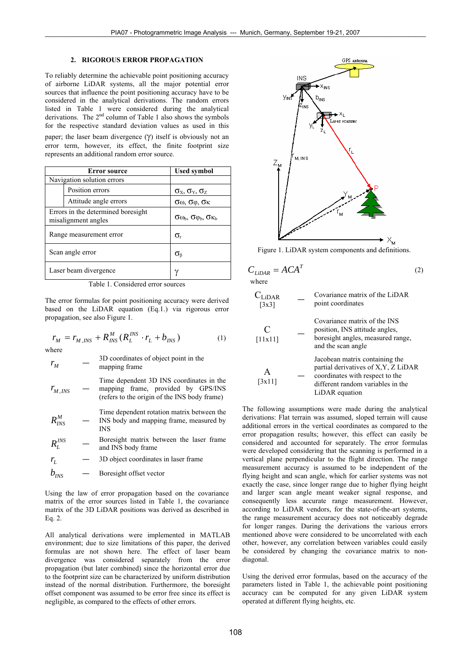## **2. RIGOROUS ERROR PROPAGATION**

To reliably determine the achievable point positioning accuracy of airborne LiDAR systems, all the major potential error sources that influence the point positioning accuracy have to be considered in the analytical derivations. The random errors listed in Table 1 were considered during the analytical derivations. The  $2<sup>nd</sup>$  column of Table 1 also shows the symbols for the respective standard deviation values as used in this paper; the laser beam divergence  $(\gamma)$  itself is obviously not an error term, however, its effect, the finite footprint size

represents an additional random error source.

| <b>Error</b> source                                       |                       | <b>Used symbol</b>                                                                |
|-----------------------------------------------------------|-----------------------|-----------------------------------------------------------------------------------|
| Navigation solution errors                                |                       |                                                                                   |
|                                                           | Position errors       | $\sigma_X$ , $\sigma_Y$ , $\sigma_Z$                                              |
|                                                           | Attitude angle errors | $\sigma$ <sub><math>\omega</math></sub> , $\sigma$ $\phi$ , $\sigma$ <sub>K</sub> |
| Errors in the determined boresight<br>misalignment angles |                       | $\sigma \omega_{b}$ , $\sigma \varphi_{b}$ , $\sigma \kappa_{b}$                  |
| Range measurement error                                   |                       | σ.                                                                                |
| Scan angle error                                          |                       | $\sigma_{\text{\tiny R}}$                                                         |
| Laser beam divergence                                     |                       |                                                                                   |

Table 1. Considered error sources

The error formulas for point positioning accuracy were derived based on the LiDAR equation (Eq.1.) via rigorous error propagation, see also Figure 1.

 $r_M = r_{M,INS} + R_{INS}^M (R_L^{INS} \cdot r_L + b_{INS})$  (1) where

$$
r_M \qquad - \qquad \qquad ^{3D} \text{ coordinates of object point in the mapping frame}
$$

 $\lambda_{RNS}^M + R_{INS}^M(R_L^{INS} \cdot r_L + b_{INS})$ *L*

*<sup>M</sup> INS r* , ― Time dependent 3D INS coordinates in the mapping frame, provided by GPS/INS (refers to the origin of the INS body frame)

 $R_{INS}^M$ Time dependent rotation matrix between the INS body and mapping frame, measured by INS

 $R_L^{INS}$  — Boresight matrix between the laser frame and INS body frame

 $r_L$  — 3D object coordinates in laser frame

 $b_{NSS}$  – Boresight offset vector

Using the law of error propagation based on the covariance matrix of the error sources listed in Table 1, the covariance matrix of the 3D LiDAR positions was derived as described in Eq. 2.

All analytical derivations were implemented in MATLAB environment; due to size limitations of this paper, the derived formulas are not shown here. The effect of laser beam divergence was considered separately from the error propagation (but later combined) since the horizontal error due to the footprint size can be characterized by uniform distribution instead of the normal distribution. Furthermore, the boresight offset component was assumed to be error free since its effect is negligible, as compared to the effects of other errors.



Figure 1. LiDAR system components and definitions.

$$
C_{LIDAR} = ACA^T
$$
 (2) where

CLiDAR [3x3] ― Covariance matrix of the LiDAR point coordinates C [11x11] ― Covariance matrix of the INS position, INS attitude angles, boresight angles, measured range, and the scan angle A [3x11] ― Jacobean matrix containing the partial derivatives of X,Y, Z LiDAR coordinates with respect to the different random variables in the LiDAR equation

The following assumptions were made during the analytical derivations: Flat terrain was assumed, sloped terrain will cause additional errors in the vertical coordinates as compared to the error propagation results; however, this effect can easily be considered and accounted for separately. The error formulas were developed considering that the scanning is performed in a vertical plane perpendicular to the flight direction. The range measurement accuracy is assumed to be independent of the flying height and scan angle, which for earlier systems was not exactly the case, since longer range due to higher flying height and larger scan angle meant weaker signal response, and consequently less accurate range measurement. However, according to LiDAR vendors, for the state-of-the-art systems, the range measurement accuracy does not noticeably degrade for longer ranges. During the derivations the various errors mentioned above were considered to be uncorrelated with each other, however, any correlation between variables could easily be considered by changing the covariance matrix to nondiagonal.

Using the derived error formulas, based on the accuracy of the parameters listed in Table 1, the achievable point positioning accuracy can be computed for any given LiDAR system operated at different flying heights, etc.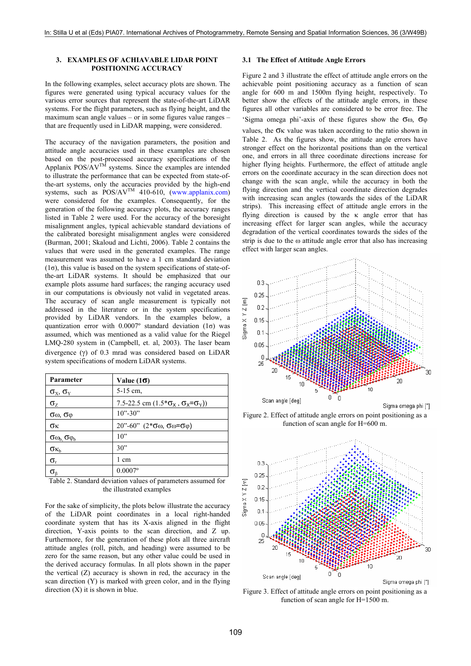#### **3. EXAMPLES OF ACHIAVABLE LIDAR POINT POSITIONING ACCURACY**

In the following examples, select accuracy plots are shown. The figures were generated using typical accuracy values for the various error sources that represent the state-of-the-art LiDAR systems. For the flight parameters, such as flying height, and the maximum scan angle values – or in some figures value ranges – that are frequently used in LiDAR mapping, were considered.

The accuracy of the navigation parameters, the position and attitude angle accuracies used in these examples are chosen based on the post-processed accuracy specifications of the Applanix  $POS/AV^{T\hat{M}}$  systems. Since the examples are intended to illustrate the performance that can be expected from state-ofthe-art systems, only the accuracies provided by the high-end systems, such as  $POS/AV^{TM}$  410-610, (www.applanix.com) were considered for the examples. Consequently, for the generation of the following accuracy plots, the accuracy ranges listed in Table 2 were used. For the accuracy of the boresight misalignment angles, typical achievable standard deviations of the calibrated boresight misalignment angles were considered (Burman, 2001; Skaloud and Lichti, 2006). Table 2 contains the values that were used in the generated examples. The range measurement was assumed to have a 1 cm standard deviation  $(1\sigma)$ , this value is based on the system specifications of state-ofthe-art LiDAR systems. It should be emphasized that our example plots assume hard surfaces; the ranging accuracy used in our computations is obviously not valid in vegetated areas. The accuracy of scan angle measurement is typically not addressed in the literature or in the system specifications provided by LiDAR vendors. In the examples below, a quantization error with  $0.0007^{\circ}$  standard deviation  $(1\sigma)$  was assumed, which was mentioned as a valid value for the Riegel LMQ-280 system in (Campbell, et. al, 2003). The laser beam divergence (γ) of 0.3 mrad was considered based on LiDAR system specifications of modern LiDAR systems.

| Parameter                                      | Value $(10)$                                        |
|------------------------------------------------|-----------------------------------------------------|
| $\sigma_{\rm x}$ , $\sigma_{\rm y}$            | 5-15 cm,                                            |
| $\sigma_{Z}$                                   | 7.5-22.5 cm $(1.5 * \sigma_X, \sigma_X = \sigma_Y)$ |
| $\sigma_{\omega}$ , $\sigma_{\phi}$            | $10" - 30"$                                         |
| σк                                             | $20$ "-60" (2*σω, σω=σφ)                            |
| $\sigma_{\omega_{\rm b}}\sigma_{\phi_{\rm b}}$ | 10"                                                 |
| $\sigma_{\kappa_{\rm b}}$                      | 30"                                                 |
| $\sigma_{\rm r}$                               | 1 cm                                                |
|                                                | $0.0007$ °                                          |

Table 2. Standard deviation values of parameters assumed for the illustrated examples

For the sake of simplicity, the plots below illustrate the accuracy of the LiDAR point coordinates in a local right-handed coordinate system that has its X-axis aligned in the flight direction, Y-axis points to the scan direction, and Z up. Furthermore, for the generation of these plots all three aircraft attitude angles (roll, pitch, and heading) were assumed to be zero for the same reason, but any other value could be used in the derived accuracy formulas. In all plots shown in the paper the vertical (Z) accuracy is shown in red, the accuracy in the scan direction (Y) is marked with green color, and in the flying direction  $(X)$  it is shown in blue.

## **3.1 The Effect of Attitude Angle Errors**

Figure 2 and 3 illustrate the effect of attitude angle errors on the achievable point positioning accuracy as a function of scan angle for 600 m and 1500m flying height, respectively. To better show the effects of the attitude angle errors, in these figures all other variables are considered to be error free. The 'Sigma omega phi'-axis of these figures show the  $\sigma\omega$ ,  $\sigma\phi$ values, the  $\sigma$ <sub>K</sub> value was taken according to the ratio shown in Table 2. As the figures show, the attitude angle errors have stronger effect on the horizontal positions than on the vertical one, and errors in all three coordinate directions increase for higher flying heights. Furthermore, the effect of attitude angle errors on the coordinate accuracy in the scan direction does not change with the scan angle, while the accuracy in both the flying direction and the vertical coordinate direction degrades with increasing scan angles (towards the sides of the LiDAR strips). This increasing effect of attitude angle errors in the flying direction is caused by the  $\kappa$  angle error that has increasing effect for larger scan angles, while the accuracy degradation of the vertical coordinates towards the sides of the strip is due to the ω attitude angle error that also has increasing effect with larger scan angles.



Figure 2. Effect of attitude angle errors on point positioning as a function of scan angle for H=600 m.



Figure 3. Effect of attitude angle errors on point positioning as a function of scan angle for H=1500 m.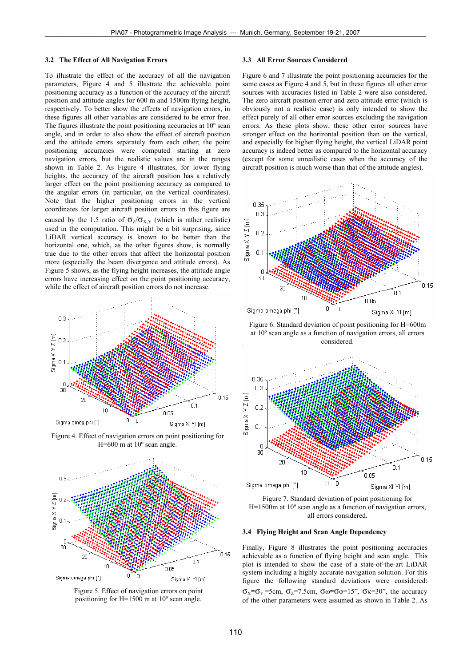#### **3.2 The Effect of All Navigation Errors**

To illustrate the effect of the accuracy of all the navigation parameters, Figure 4 and 5 illustrate the achievable point positioning accuracy as a function of the accuracy of the aircraft position and attitude angles for 600 m and 1500m flying height, respectively. To better show the effects of navigation errors, in these figures all other variables are considered to be error free. The figures illustrate the point positioning accuracies at 10º scan angle, and in order to also show the effect of aircraft position and the attitude errors separately from each other; the point positioning accuracies were computed starting at zero navigation errors, but the realistic values are in the ranges shown in Table 2. As Figure 4 illustrates, for lower flying heights, the accuracy of the aircraft position has a relatively larger effect on the point positioning accuracy as compared to the angular errors (in particular, on the vertical coordinates). Note that the higher positioning errors in the vertical coordinates for larger aircraft position errors in this figure are caused by the 1.5 ratio of  $\sigma_Z/\sigma_{X,Y}$  (which is rather realistic) used in the computation. This might be a bit surprising, since LiDAR vertical accuracy is known to be better than the horizontal one, which, as the other figures show, is normally true due to the other errors that affect the horizontal position more (especially the beam divergence and attitude errors). As Figure 5 shows, as the flying height increases, the attitude angle errors have increasing effect on the point positioning accuracy, while the effect of aircraft position errors do not increase.



Figure 4. Effect of navigation errors on point positioning for H=600 m at 10º scan angle.



Figure 5. Effect of navigation errors on point positioning for H=1500 m at 10º scan angle.

#### **3.3 All Error Sources Considered**

Figure 6 and 7 illustrate the point positioning accuracies for the same cases as Figure 4 and 5, but in these figures all other error sources with accuracies listed in Table 2 were also considered. The zero aircraft position error and zero attitude error (which is obviously not a realistic case) is only intended to show the effect purely of all other error sources excluding the navigation errors. As these plots show, these other error sources have stronger effect on the horizontal position than on the vertical, and especially for higher flying height, the vertical LiDAR point accuracy is indeed better as compared to the horizontal accuracy (except for some unrealistic cases when the accuracy of the aircraft position is much worse than that of the attitude angles).



Figure 6. Standard deviation of point positioning for H=600m at 10º scan angle as a function of navigation errors, all errors considered.



Figure 7. Standard deviation of point positioning for H=1500m at 10º scan angle as a function of navigation errors, all errors considered.

#### **3.4 Flying Height and Scan Angle Dependency**

Finally, Figure 8 illustrates the point positioning accuracies achievable as a function of flying height and scan angle. This plot is intended to show the case of a state-of-the-art LiDAR system including a highly accurate navigation solution. For this figure the following standard deviations were considered:  $σ<sub>X</sub>=σ<sub>Y</sub>=5cm, σ<sub>Z</sub>=7.5cm, σ<sub>ω</sub>=σ<sub>φ</sub>=15", σ<sub>K</sub>=30", the accuracy$ of the other parameters were assumed as shown in Table 2. As